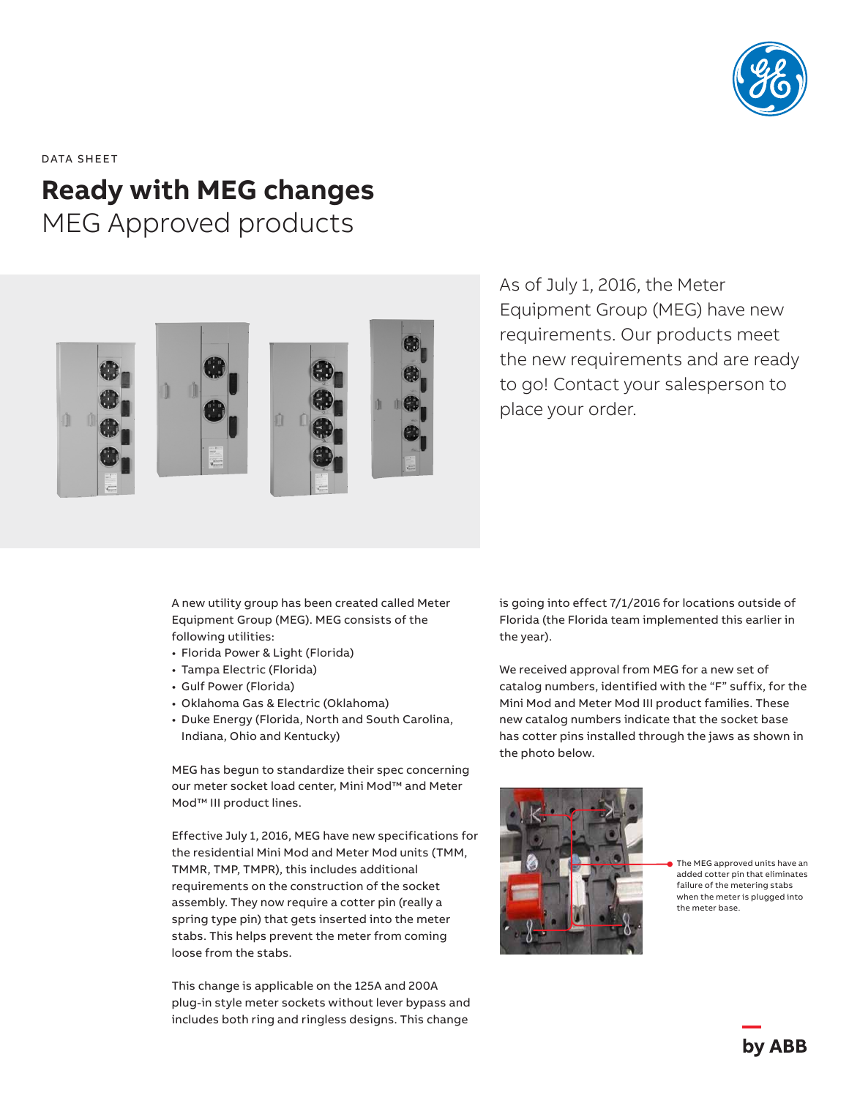

DATA SHEET

# **Ready with MEG changes** MEG Approved products



As of July 1, 2016, the Meter Equipment Group (MEG) have new requirements. Our products meet the new requirements and are ready to go! Contact your salesperson to place your order.

A new utility group has been created called Meter Equipment Group (MEG). MEG consists of the following utilities:

- Florida Power & Light (Florida)
- Tampa Electric (Florida)
- Gulf Power (Florida)
- Oklahoma Gas & Electric (Oklahoma)
- Duke Energy (Florida, North and South Carolina, Indiana, Ohio and Kentucky)

MEG has begun to standardize their spec concerning our meter socket load center, Mini Mod™ and Meter Mod™ III product lines.

Effective July 1, 2016, MEG have new specifications for the residential Mini Mod and Meter Mod units (TMM, TMMR, TMP, TMPR), this includes additional requirements on the construction of the socket assembly. They now require a cotter pin (really a spring type pin) that gets inserted into the meter stabs. This helps prevent the meter from coming loose from the stabs.

This change is applicable on the 125A and 200A plug-in style meter sockets without lever bypass and includes both ring and ringless designs. This change

is going into effect 7/1/2016 for locations outside of Florida (the Florida team implemented this earlier in the year).

We received approval from MEG for a new set of catalog numbers, identified with the "F" suffix, for the Mini Mod and Meter Mod III product families. These new catalog numbers indicate that the socket base has cotter pins installed through the jaws as shown in the photo below.



The MEG approved units have an added cotter pin that eliminates failure of the metering stabs when the meter is plugged into the meter base.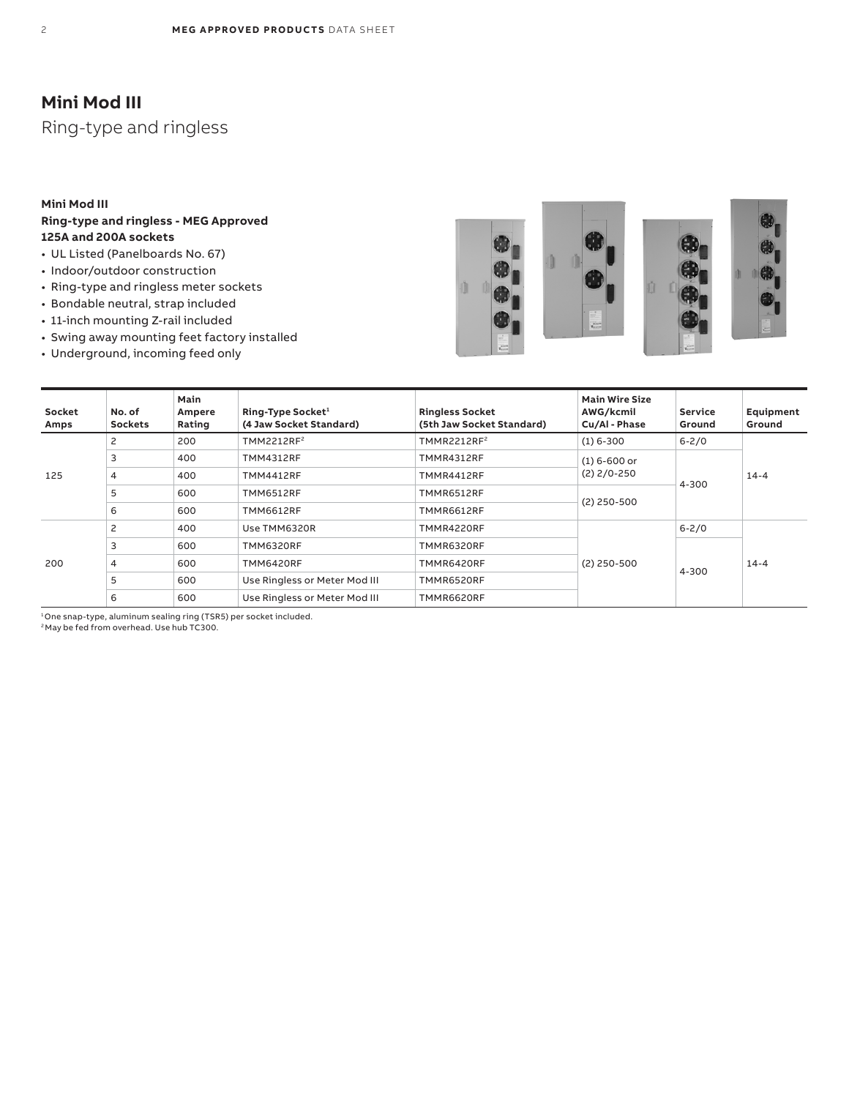# **Mini Mod III**

Ring-type and ringless

#### **Mini Mod III**

### **Ring-type and ringless - MEG Approved 125A and 200A sockets**

- UL Listed (Panelboards No. 67)
- Indoor/outdoor construction
- Ring-type and ringless meter sockets
- Bondable neutral, strap included
- 11-inch mounting Z-rail included
- Swing away mounting feet factory installed
- Underground, incoming feed only







| Socket<br>Amps | No. of<br><b>Sockets</b> | Main<br>Ampere<br>Rating | Ring-Type Socket <sup>1</sup><br>(4 Jaw Socket Standard) | <b>Ringless Socket</b><br>(5th Jaw Socket Standard) | <b>Main Wire Size</b><br>AWG/kcmil<br>Cu/Al - Phase | <b>Service</b><br>Ground | Equipment<br>Ground |
|----------------|--------------------------|--------------------------|----------------------------------------------------------|-----------------------------------------------------|-----------------------------------------------------|--------------------------|---------------------|
| 125            |                          | 200                      | TMM2212RF <sup>2</sup>                                   | TMMR2212RF2                                         | $(1)$ 6-300                                         | $6 - 2/0$                | $14 - 4$            |
|                | 3                        | 400                      | <b>TMM4312RF</b>                                         | TMMR4312RF                                          | $(1) 6 - 600$ or                                    | 4-300                    |                     |
|                | 4                        | 400                      | <b>TMM4412RF</b>                                         | TMMR4412RF                                          | $(2)$ 2/0-250                                       |                          |                     |
|                | 5                        | 600                      | <b>TMM6512RF</b>                                         | TMMR6512RF                                          |                                                     |                          |                     |
|                | 6                        | 600                      | <b>TMM6612RF</b>                                         | TMMR6612RF                                          | $(2)$ 250-500                                       |                          |                     |
| 200            | 2                        | 400                      | Use TMM6320R                                             | TMMR4220RF                                          |                                                     | $6 - 2/0$                | $14 - 4$            |
|                | 3                        | 600                      | <b>TMM6320RF</b>                                         | TMMR6320RF                                          |                                                     |                          |                     |
|                | 4                        | 600                      | <b>TMM6420RF</b>                                         | TMMR6420RF                                          | $(2)$ 250-500                                       |                          |                     |
|                | 5                        | 600                      | Use Ringless or Meter Mod III                            | TMMR6520RF                                          |                                                     | 4-300                    |                     |
|                | 6                        | 600                      | Use Ringless or Meter Mod III                            | TMMR6620RF                                          |                                                     |                          |                     |

1 One snap-type, aluminum sealing ring (TSR5) per socket included.

 $^2$ May be fed from overhead. Use hub TC300.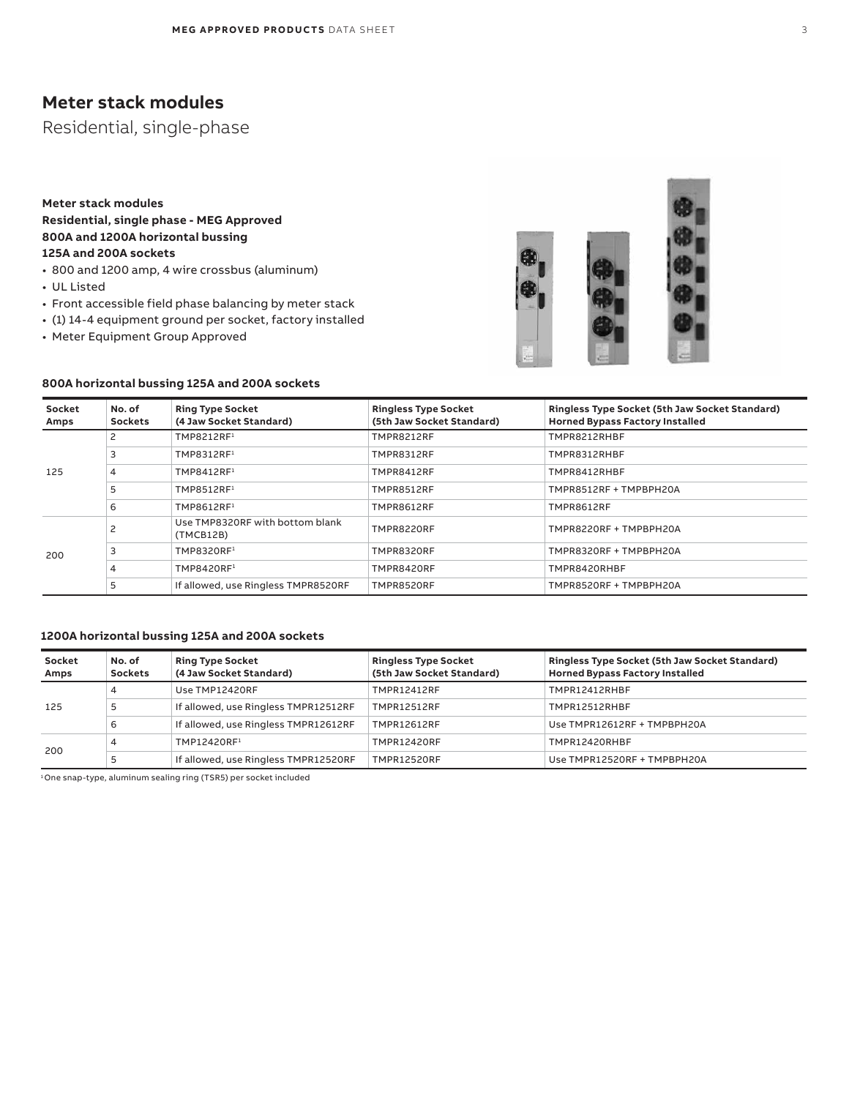## **Meter stack modules**

Residential, single-phase

### **Meter stack modules Residential, single phase - MEG Approved 800A and 1200A horizontal bussing 125A and 200A sockets**

- 800 and 1200 amp, 4 wire crossbus (aluminum)
- UL Listed
- Front accessible field phase balancing by meter stack
- (1) 14-4 equipment ground per socket, factory installed
- Meter Equipment Group Approved





| Socket<br>Amps | No. of<br><b>Sockets</b> | <b>Ring Type Socket</b><br>(4 Jaw Socket Standard) | <b>Ringless Type Socket</b><br>(5th Jaw Socket Standard) | Ringless Type Socket (5th Jaw Socket Standard)<br><b>Horned Bypass Factory Installed</b> |
|----------------|--------------------------|----------------------------------------------------|----------------------------------------------------------|------------------------------------------------------------------------------------------|
| 125            | 2                        | TMP8212RF1                                         | TMPR8212RF                                               | TMPR8212RHBF                                                                             |
|                | 3                        | TMP8312RF1                                         | <b>TMPR8312RF</b>                                        | TMPR8312RHBF                                                                             |
|                | $\overline{4}$           | TMP8412RF1                                         | TMPR8412RF                                               | TMPR8412RHBF                                                                             |
|                | 5                        | TMP8512RF1                                         | TMPR8512RF                                               | TMPR8512RF + TMPBPH20A                                                                   |
|                | 6                        | TMP8612RF1                                         | TMPR8612RF                                               | <b>TMPR8612RF</b>                                                                        |
| 200            |                          | Use TMP8320RF with bottom blank<br>(TMCB12B)       | TMPR8220RF                                               | TMPR8220RF + TMPBPH20A                                                                   |
|                | 3                        | TMP8320RF1                                         | TMPR8320RF                                               | TMPR8320RF + TMPBPH20A                                                                   |
|                | 4                        | TMP8420RF1                                         | TMPR8420RF                                               | TMPR8420RHBF                                                                             |
|                | 5                        | If allowed, use Ringless TMPR8520RF                | TMPR8520RF                                               | TMPR8520RF + TMPBPH20A                                                                   |

#### **1200A horizontal bussing 125A and 200A sockets**

| Socket<br>Amps | No. of<br><b>Sockets</b> | <b>Ring Type Socket</b><br>(4 Jaw Socket Standard) | <b>Ringless Type Socket</b><br>(5th Jaw Socket Standard) | Ringless Type Socket (5th Jaw Socket Standard)<br><b>Horned Bypass Factory Installed</b> |
|----------------|--------------------------|----------------------------------------------------|----------------------------------------------------------|------------------------------------------------------------------------------------------|
| 125            | 4                        | Use TMP12420RF                                     | <b>TMPR12412RF</b>                                       | TMPR12412RHBF                                                                            |
|                |                          | If allowed, use Ringless TMPR12512RF               | <b>TMPR12512RF</b>                                       | TMPR12512RHBF                                                                            |
|                | b                        | If allowed, use Ringless TMPR12612RF               | <b>TMPR12612RF</b>                                       | Use TMPR12612RF + TMPBPH20A                                                              |
| 200            | 4                        | TMP12420RF1                                        | <b>TMPR12420RF</b>                                       | TMPR12420RHBF                                                                            |
|                |                          | If allowed, use Ringless TMPR12520RF               | <b>TMPR12520RF</b>                                       | Use TMPR12520RF + TMPBPH20A                                                              |

1 One snap-type, aluminum sealing ring (TSR5) per socket included